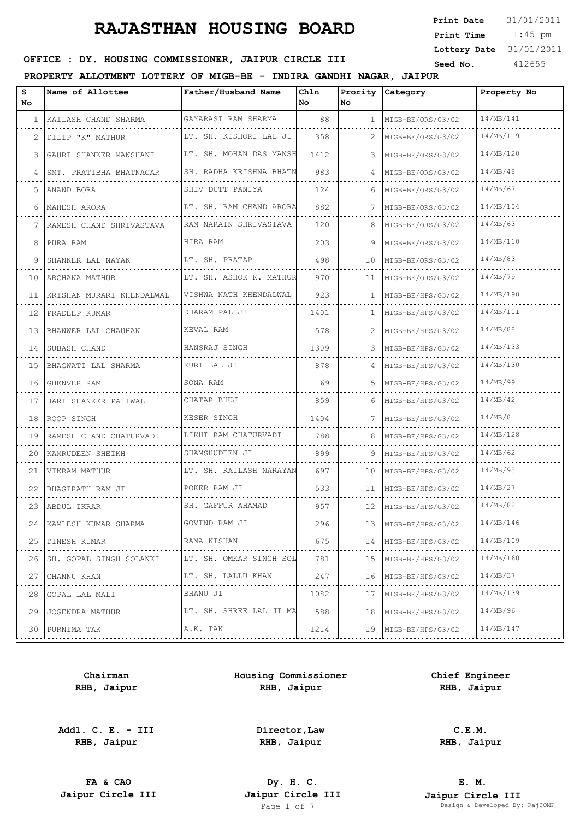1:45 pm **Print Date**  $31/01/2011$ **Print Time Lottery Date** 31/01/2011

## **SEED OFFICE : DY. HOUSING COMMISSIONER, JAIPUR CIRCLE III** Seed No. 412655

### **PROPERTY ALLOTMENT LOTTERY OF MIGB-BE - INDIRA GANDHI NAGAR, JAIPUR**

| s<br>No.     | Name of Allottee             | Father/Husband Name         | Chln<br>No | No           | Prority Category       | Property No      |
|--------------|------------------------------|-----------------------------|------------|--------------|------------------------|------------------|
| $\mathbf{1}$ | KAILASH CHAND SHARMA         | GAYARASI RAM SHARMA         | 88         | $\mathbf{1}$ | MIGB-BE/ORS/G3/02      | 14/MB/141        |
| 2            | DILIP "K" MATHUR             | LT. SH. KISHORI LAL JI<br>. | 358        |              | MIGB-BE/ORS/G3/02      | 14/MB/119        |
| 3            | GAURI SHANKER MANSHANI       | LT. SH. MOHAN DAS MANSH     | 1412       | 3            | MIGB-BE/ORS/G3/02      | 14/MB/120        |
| 4            | SMT. PRATIBHA BHATNAGAR<br>. | SH. RADHA KRISHNA BHATN     | 983        | 4            | MIGB-BE/ORS/G3/02      | 14/MB/48         |
| 5            | ANAND BORA                   | SHIV DUTT PANIYA            | 124        | 6            | MIGB-BE/ORS/G3/02      | 14/MB/67         |
| 6            | MAHESH ARORA                 | LT. SH. RAM CHAND ARORA     | 882        | 7            | MIGB-BE/ORS/G3/02<br>. | 14/MB/104        |
| 7            | RAMESH CHAND SHRIVASTAVA     | RAM NARAIN SHRIVASTAVA      | 120        | 8            | MIGB-BE/ORS/G3/02      | 14/MB/63         |
| 8            | PURA RAM                     | HIRA RAM                    | 203        | 9            | MIGB-BE/ORS/G3/02<br>. | 14/MB/110        |
| 9            | SHANKER LAL NAYAK            | LT. SH. PRATAP              | 498        | 10           | MIGB-BE/ORS/G3/02      | 14/MB/83         |
| 10           | ARCHANA MATHUR<br>.          | LT. SH. ASHOK K. MATHUR     | 970        | 11           | MIGB-BE/ORS/G3/02      | 14/MB/79         |
| 11           | KRISHAN MURARI KHENDALWAL    | VISHWA NATH KHENDALWAL      | 923        | $\mathbf{1}$ | MIGB-BE/HPS/G3/02      | 14/MB/190        |
| 12           | PRADEEP KUMAR                | DHARAM PAL JI<br>.          | 1401       | 1            | MIGB-BE/HPS/G3/02      | 14/MB/101        |
| 13           | BHANWER LAL CHAUHAN          | KEVAL RAM                   | 578        |              | MIGB-BE/HPS/G3/02      | 14/MB/88         |
| 14           | SUBASH CHAND<br>.            | HANSRAJ SINGH<br>.          | 1309       | 3            | MIGB-BE/HPS/G3/02      | 14/MB/133        |
| 15           | BHAGWATI LAL SHARMA          | KURI LAL JI                 | 878        | 4            | MIGB-BE/HPS/G3/02      | 14/MB/130        |
| 16           | GHENVER RAM                  | SONA RAM                    | 69         | 5.           | MIGB-BE/HPS/G3/02      | 14/MB/99         |
| 17           | HARI SHANKER PALIWAL         | CHATAR BHUJ                 | 859        | 6            | MIGB-BE/HPS/G3/02      | 14/MB/42         |
| 18           | ROOP SINGH                   | KESER SINGH<br>.            | 1404       |              | MIGB-BE/HPS/G3/02      | $14/\text{MB}/8$ |
| 19           | RAMESH CHAND CHATURVADI      | LIKHI RAM CHATURVADI        | 788        | 8            | MIGB-BE/HPS/G3/02      | 14/MB/128        |
| 20           | KAMRUDEEN SHEIKH             | SHAMSHUDEEN JI              | 899        | 9            | MIGB-BE/HPS/G3/02      | 14/MB/62         |
| 21           | VIKRAM MATHUR                | LT. SH. KAILASH NARAYAN     | 697        | 10           | MIGB-BE/HPS/G3/02      | 14/MB/95         |
| 22           | BHAGIRATH RAM JI             | POKER RAM JI                | 533        | 11           | MIGB-BE/HPS/G3/02      | 14/MB/27         |
| 23           | ABDUL IKRAR                  | SH. GAFFUR AHAMAD           | 957        | 12           | MIGB-BE/HPS/G3/02      | 14/MB/82         |
| 24           | KAMLESH KUMAR SHARMA         | GOVIND RAM JI               | 296        | 13           | MIGB-BE/HPS/G3/02      | 14/MB/146        |
| 25           | DINESH KUMAR<br>.            | RAMA KISHAN<br>.            | 675        | 14           | MIGB-BE/HPS/G3/02      | 14/MB/109        |
| 26           | SH. GOPAL SINGH SOLANKI      | LT. SH. OMKAR SINGH SOL     | 781        | 15           | MIGB-BE/HPS/G3/02      | 14/MB/160        |
| 27           | CHANNU KHAN<br>.             | LT. SH. LALLU KHAN<br>.     | 247        | 16           | MIGB-BE/HPS/G3/02      | 14/MB/37<br>.    |
| 28           | GOPAL LAL MALI               | BHANU JI                    | 1082       | 17           | MIGB-BE/HPS/G3/02      | 14/MB/139        |
| 29           | JOGENDRA MATHUR<br><u>.</u>  | LT. SH. SHREE LAL JI MA     | 588        | 18           | MIGB-BE/HPS/G3/02      | 14/MB/96         |
| 30           | PURNIMA TAK                  | A.K. TAK<br>.               | 1214       | 19           | MIGB-BE/HPS/G3/02      | 14/MB/147        |
|              |                              |                             |            |              |                        |                  |

**Chairman RHB, Jaipur**

**Addl. C. E. - III RHB, Jaipur**

**Housing Commissioner RHB, Jaipur**

> **Director,Law RHB, Jaipur**

**Chief Engineer RHB, Jaipur**

**C.E.M.**

**RHB, Jaipur**

**FA & CAO Dy. H. C.**

**E. M. Jaipur Circle III Jaipur Circle III Jaipur Circle III Jaipur Circle III Jaipur Circle III Page 1 of 7 Design & Developed By:** Pesign & Developed By: RajCOMP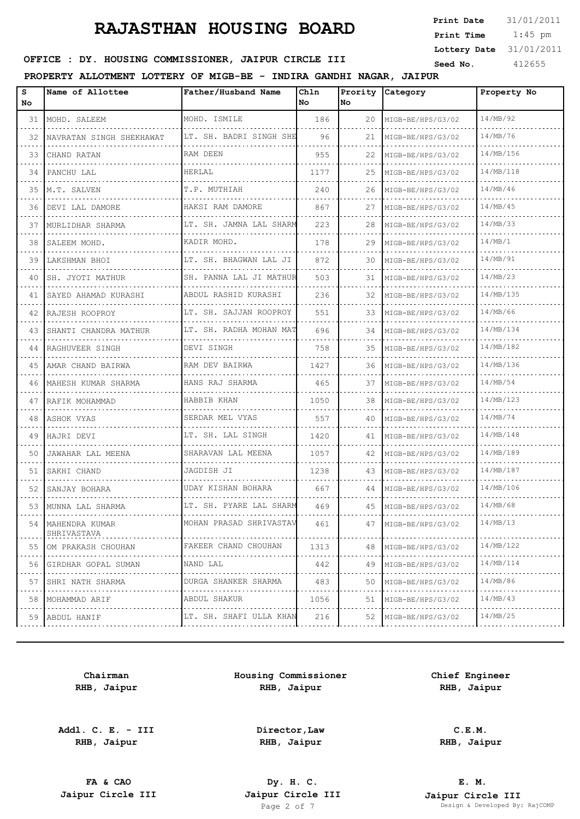1:45 pm **Print Date**  $31/01/2011$ **Print Time Lottery Date** 31/01/2011

## **SEED OFFICE : DY. HOUSING COMMISSIONER, JAIPUR CIRCLE III** Seed No. 412655

### **PROPERTY ALLOTMENT LOTTERY OF MIGB-BE - INDIRA GANDHI NAGAR, JAIPUR**

| S<br>No | Name of Allottee                   | Father/Husband Name                          | Chln<br>No | Prority<br>No. | <i>Category</i>               | Property No |
|---------|------------------------------------|----------------------------------------------|------------|----------------|-------------------------------|-------------|
|         | 31   MOHD. SALEEM                  | MOHD. ISMILE                                 | 186        | 20             | MIGB-BE/HPS/G3/02             | 14/MB/92    |
| 32      | NAVRATAN SINGH SHEKHAWAT           | LT. SH. BADRI SINGH SHE                      | 96         | 21             | MIGB-BE/HPS/G3/02             | 14/MB/76    |
| 33      | CHAND RATAN                        | RAM DEEN                                     | 955        | 22             | MIGB-BE/HPS/G3/02             | 14/MB/156   |
|         | 34   PANCHU LAL                    | HERLAL                                       | 1177       | 25             | MIGB-BE/HPS/G3/02             | 14/MB/118   |
| 35      | M.T. SALVEN                        | T.P. MUTHIAH<br><u> 1999 - La Salada Sal</u> | 240        | 26             | MIGB-BE/HPS/G3/02             | 14/MB/46    |
| 36.     | DEVI LAL DAMORE<br>.               | HAKSI RAM DAMORE                             | 867        | 27             | MIGB-BE/HPS/G3/02             | 14/MB/45    |
| 37      | MURLIDHAR SHARMA                   | LT. SH. JAMNA LAL SHARM                      | 223        | 28             | MIGB-BE/HPS/G3/02             | 14/MB/33    |
| 38      | SALEEM MOHD.                       | KADIR MOHD.                                  | 178        | 29             | MIGB-BE/HPS/G3/02             | 14/MB/1     |
| 39      | LAKSHMAN BHOI                      | LT. SH. BHAGWAN LAL JI                       | 872        | 30             | MIGB-BE/HPS/G3/02             | 14/MB/91    |
| 40      | ISH. JYOTI MATHUR                  | SH. PANNA LAL JI MATHUR                      | 503        | 31             | MIGB-BE/HPS/G3/02             | 14/MB/23    |
| 41      | SAYED AHAMAD KURASHI               | ABDUL RASHID KURASHI                         | 236        | 32             | MIGB-BE/HPS/G3/02             | 14/MB/135   |
| 42      | RAJESH ROOPROY                     | LT. SH. SAJJAN ROOPROY                       | 551        | 33             | MIGB-BE/HPS/G3/02             | 14/MB/66    |
| 43      | SHANTI CHANDRA MATHUR              | LT. SH. RADHA MOHAN MAT                      | 696        | 34             | MIGB-BE/HPS/G3/02             | 14/MB/134   |
| 44      | RAGHUVEER SINGH                    | DEVI SINGH                                   | 758        | 35             | MIGB-BE/HPS/G3/02             | 14/MB/182   |
| 45      | AMAR CHAND BAIRWA                  | RAM DEV BAIRWA                               | 1427       | 36             | MIGB-BE/HPS/G3/02             | 14/MB/136   |
| 46      | IMAHESH KUMAR SHARMA               | HANS RAJ SHARMA                              | 465        | 37             | MIGB-BE/HPS/G3/02             | 14/MB/54    |
| 47      | RAFIK MOHAMMAD                     | HABBIB KHAN                                  | 1050       | 38             | MIGB-BE/HPS/G3/02             | 14/MB/123   |
| 48      | LASHOK VYAS                        | SERDAR MEL VYAS                              | 557        | 40             | MIGB-BE/HPS/G3/02             | 14/MB/74    |
|         | 49 HAJRI DEVI                      | LT. SH. LAL SINGH                            | 1420       | 41             | MIGB-BE/HPS/G3/02             | 14/MB/148   |
| 50.     | JAWAHAR LAL MEENA                  | SHARAVAN LAL MEENA                           | 1057       | 42             | MIGB-BE/HPS/G3/02             | 14/MB/189   |
|         | 51   SAKHI CHAND                   | JAGDISH JI<br>.                              | 1238       | 43             | MIGB-BE/HPS/G3/02             | 14/MB/187   |
| 52      | SANJAY BOHARA                      | UDAY KISHAN BOHARA                           | 667        | 44             | MIGB-BE/HPS/G3/02             | 14/MB/106   |
|         | 53   MUNNA LAL SHARMA              | LT. SH. PYARE LAL SHARM                      | 469        | 45             | MIGB-BE/HPS/G3/02             | 14/MB/68    |
|         | 54   MAHENDRA KUMAR<br>SHRIVASTAVA | MOHAN PRASAD SHRIVASTAV                      | 461        | 47             | MIGB-BE/HPS/G3/02             | 14/MB/13    |
| 55      | OM PRAKASH CHOUHAN<br>.            | FAKEER CHAND CHOUHAN<br>.                    | 1313       |                | 48 MIGB-BE/HPS/G3/02          | 14/MB/122   |
| 56      | GIRDHAR GOPAL SUMAN                | NAND LAL                                     | 442        | 49             | MIGB-BE/HPS/G3/02<br><u>.</u> | 14/MB/114   |
| 57      | SHRI NATH SHARMA<br>.              | DURGA SHANKER SHARMA                         | 483        | 50             | MIGB-BE/HPS/G3/02             | 14/MB/86    |
| 58      | MOHAMMAD ARIF<br>.                 | ABDUL SHAKUR<br>.                            | 1056       | 51             | MIGB-BE/HPS/G3/02             | 14/MB/43    |
|         | 59 ABDUL HANIF<br>.                | LT. SH. SHAFI ULLA KHAN                      | 216        | 52             | MIGB-BE/HPS/G3/02             | 14/MB/25    |

**Chairman RHB, Jaipur**

**Addl. C. E. - III RHB, Jaipur**

**Housing Commissioner RHB, Jaipur**

**Chief Engineer RHB, Jaipur**

**Director,Law RHB, Jaipur**

**C.E.M.**

**RHB, Jaipur**

**FA & CAO Dy. H. C.**

**E. M. Jaipur Circle III Jaipur Circle III Jaipur Circle III Jaipur Circle III Jaipur Circle III Page 2 of 7 Design & Developed By:** Pesign & Developed By: RajCOMP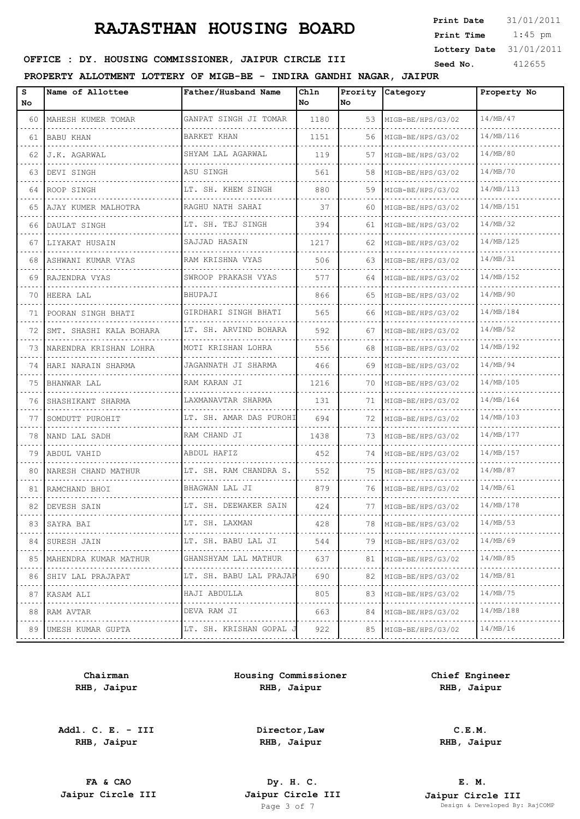1:45 pm **Print Date**  $31/01/2011$ **Print Time Lottery Date** 31/01/2011

## **SEED OFFICE : DY. HOUSING COMMISSIONER, JAIPUR CIRCLE III** Seed No. 412655

**PROPERTY ALLOTMENT LOTTERY OF MIGB-BE - INDIRA GANDHI NAGAR, JAIPUR**

| s<br>No | Name of Allottee        | Father/Husband Name     | Ch1n<br>l No | Prority<br>No. | Category          | Property No |
|---------|-------------------------|-------------------------|--------------|----------------|-------------------|-------------|
| 60      | MAHESH KUMER TOMAR      | GANPAT SINGH JI TOMAR   | 1180         | 53             | MIGB-BE/HPS/G3/02 | 14/MB/47    |
| 61      | <b>BABU KHAN</b>        | BARKET KHAN             | 1151         | 56             | MIGB-BE/HPS/G3/02 | 14/MB/116   |
| 62      | J.K. AGARWAL            | SHYAM LAL AGARWAL       | 119          | 57             | MIGB-BE/HPS/G3/02 | 14/MB/80    |
| 63      | DEVI SINGH              | ASU SINGH               | 561          | 58             | MIGB-BE/HPS/G3/02 | 14/MB/70    |
| 64      | ROOP SINGH              | LT. SH. KHEM SINGH      | 880          | 59             | MIGB-BE/HPS/G3/02 | 14/MB/113   |
| 65      | AJAY KUMER MALHOTRA     | RAGHU NATH SAHAI        | 37           | 60             | MIGB-BE/HPS/G3/02 | 14/MB/151   |
| 66      | DAULAT SINGH            | LT. SH. TEJ SINGH       | 394          | 61             | MIGB-BE/HPS/G3/02 | 14/MB/32    |
| 67      | LIYAKAT HUSAIN          | SAJJAD HASAIN           | 1217         | 62             | MIGB-BE/HPS/G3/02 | 14/MB/125   |
| 68      | ASHWANI KUMAR VYAS      | RAM KRISHNA VYAS        | 506          | 63             | MIGB-BE/HPS/G3/02 | 14/MB/31    |
| 69      | RAJENDRA VYAS           | SWROOP PRAKASH VYAS     | 577          | 64             | MIGB-BE/HPS/G3/02 | 14/MB/152   |
| 70      | HEERA LAL               | BHUPAJI                 | 866          | 65             | MIGB-BE/HPS/G3/02 | 14/MB/90    |
| 71      | POORAN SINGH BHATI      | GIRDHARI SINGH BHATI    | 565          | 66             | MIGB-BE/HPS/G3/02 | 14/MB/184   |
| 72      | SMT. SHASHI KALA BOHARA | LT. SH. ARVIND BOHARA   | 592          | 67             | MIGB-BE/HPS/G3/02 | 14/MB/52    |
| 73      | NARENDRA KRISHAN LOHRA  | MOTI KRISHAN LOHRA      | 556          | 68             | MIGB-BE/HPS/G3/02 | 14/MB/192   |
| 74      | HARI NARAIN SHARMA      | JAGANNATH JI SHARMA     | 466          | 69             | MIGB-BE/HPS/G3/02 | 14/MB/94    |
| 75      | BHANWAR LAL             | RAM KARAN JI            | 1216         | 70             | MIGB-BE/HPS/G3/02 | 14/MB/105   |
| 76      | SHASHIKANT SHARMA       | LAXMANAVTAR SHARMA      | 131          | 71             | MIGB-BE/HPS/G3/02 | 14/MB/164   |
| 77      | SOMDUTT PUROHIT         | LT. SH. AMAR DAS PUROHI | 694          | 72             | MIGB-BE/HPS/G3/02 | 14/MB/103   |
| 78      | NAND LAL SADH           | RAM CHAND JI            | 1438         | 73             | MIGB-BE/HPS/G3/02 | 14/MB/177   |
| 79      | ABDUL VAHID             | ABDUL HAFIZ             | 452          | 74             | MIGB-BE/HPS/G3/02 | 14/MB/157   |
| 80      | NARESH CHAND MATHUR     | LT. SH. RAM CHANDRA S.  | 552          | 75             | MIGB-BE/HPS/G3/02 | 14/MB/87    |
| 81      | RAMCHAND BHOI           | BHAGWAN LAL JI          | 879          | 76             | MIGB-BE/HPS/G3/02 | 14/MB/61    |
| 82      | DEVESH SAIN             | LT. SH. DEEWAKER SAIN   | 424          | 77             | MIGB-BE/HPS/G3/02 | 14/MB/178   |
| 83      | SAYRA BAI               | LT. SH. LAXMAN          | 428          | 78             | MIGB-BE/HPS/G3/02 | 14/MB/53    |
| 84      | SURESH JAIN             | LT. SH. BABU LAL JI     | 544          | 79             | MIGB-BE/HPS/G3/02 | 14/MB/69    |
| 85      | MAHENDRA KUMAR MATHUR   | GHANSHYAM LAL MATHUR    | 637          | 81             | MIGB-BE/HPS/G3/02 | 14/MB/85    |
| 86      | SHIV LAL PRAJAPAT       | LT. SH. BABU LAL PRAJAP | 690          | 82             | MIGB-BE/HPS/G3/02 | 14/MB/81    |
| 87      | KASAM ALI               | HAJI ABDULLA            | 805          | 83             | MIGB-BE/HPS/G3/02 | 14/MB/75    |
| 88      | RAM AVTAR               | DEVA RAM JI             | 663          | 84             | MIGB-BE/HPS/G3/02 | 14/MB/188   |
| 89      | UMESH KUMAR GUPTA       | LT. SH. KRISHAN GOPAL J | 922          | 85             | MIGB-BE/HPS/G3/02 | 14/MB/16    |
|         |                         |                         |              |                |                   |             |

**Chairman RHB, Jaipur**

**Addl. C. E. - III RHB, Jaipur**

**Housing Commissioner RHB, Jaipur**

**Chief Engineer RHB, Jaipur**

**Director,Law RHB, Jaipur**

**C.E.M. RHB, Jaipur**

**FA & CAO Dy. H. C.**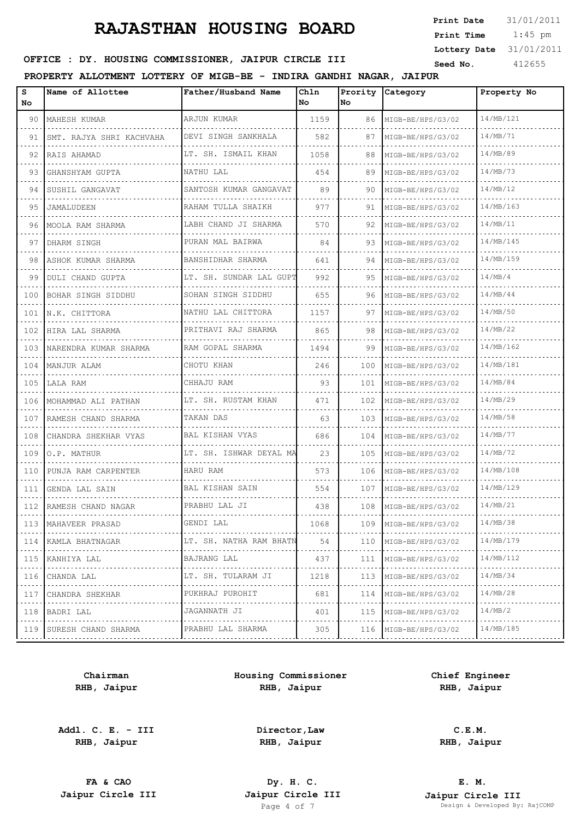1:45 pm **Print Date**  $31/01/2011$ **Print Time Lottery Date** 31/01/2011

## **SEED OFFICE : DY. HOUSING COMMISSIONER, JAIPUR CIRCLE III** Seed No. 412655

**PROPERTY ALLOTMENT LOTTERY OF MIGB-BE - INDIRA GANDHI NAGAR, JAIPUR**

| 14/MB/121<br>ARJUN KUMAR<br>1159<br>90<br>MAHESH KUMAR<br>86<br>MIGB-BE/HPS/G3/02<br>14/MB/71<br>DEVI SINGH SANKHALA<br>91<br>SMT. RAJYA SHRI KACHVAHA<br>582<br>87<br>MIGB-BE/HPS/G3/02<br>14/MB/89<br>LT. SH. ISMAIL KHAN<br>1058<br>92<br>RAIS AHAMAD<br>88<br>MIGB-BE/HPS/G3/02<br>14/MB/73<br>NATHU LAL<br>93<br>GHANSHYAM GUPTA<br>454<br>89<br>MIGB-BE/HPS/G3/02<br>SANTOSH KUMAR GANGAVAT<br>14/MB/12<br>89<br>94<br>SUSHIL GANGAVAT<br>90<br>MIGB-BE/HPS/G3/02<br>RAHAM TULLA SHAIKH<br>14/MB/163<br>977<br>91<br>95<br>MIGB-BE/HPS/G3/02<br>JAMALUDEEN<br>14/MB/11<br>LABH CHAND JI SHARMA<br>570<br>92<br>MIGB-BE/HPS/G3/02<br>96<br>MOOLA RAM SHARMA<br>14/MB/145<br>PURAN MAL BAIRWA<br>84<br>97<br>DHARM SINGH<br>93<br>MIGB-BE/HPS/G3/02<br>.<br>14/MB/159<br>BANSHIDHAR SHARMA<br>641<br>98<br>ASHOK KUMAR SHARMA<br>94<br>MIGB-BE/HPS/G3/02<br>14/MB/4<br>LT. SH. SUNDAR LAL GUPT<br>992<br>99<br><b>DULI CHAND GUPTA</b><br>95<br>MIGB-BE/HPS/G3/02<br>SOHAN SINGH SIDDHU<br>14/MB/44<br>655<br>100<br>BOHAR SINGH SIDDHU<br>96<br>MIGB-BE/HPS/G3/02<br>14/MB/50<br>NATHU LAL CHITTORA<br>1157<br>101<br>N.K. CHITTORA<br>97<br>MIGB-BE/HPS/G3/02<br>PRITHAVI RAJ SHARMA<br>14/MB/22<br>865<br>HIRA LAL SHARMA<br>98<br>MIGB-BE/HPS/G3/02<br>102<br>14/MB/162<br>RAM GOPAL SHARMA<br>1494<br>99<br>103<br>NARENDRA KUMAR SHARMA<br>MIGB-BE/HPS/G3/02<br>14/MB/181<br>CHOTU KHAN<br>246<br>100<br>104<br>MANJUR ALAM<br>MIGB-BE/HPS/G3/02<br>14/MB/84<br>CHHAJU RAM<br>105<br>93<br>101<br>LALA RAM<br>MIGB-BE/HPS/G3/02<br>14/MB/29<br>LT. SH. RUSTAM KHAN<br>471<br>102<br>106<br>MOHAMMAD ALI PATHAN<br>MIGB-BE/HPS/G3/02<br>14/MB/58<br>TAKAN DAS<br>63<br>103<br>107<br>RAMESH CHAND SHARMA<br>MIGB-BE/HPS/G3/02<br>BAL KISHAN VYAS<br>14/MB/77<br>108<br>686<br>104<br>CHANDRA SHEKHAR VYAS<br>MIGB-BE/HPS/G3/02<br>LT. SH. ISHWAR DEYAL MA<br>14/MB/72<br>23<br>105<br>109<br>MIGB-BE/HPS/G3/02<br>O.P. MATHUR<br>14/MB/108<br>HARU RAM<br>573<br>106<br>MIGB-BE/HPS/G3/02<br>110<br>PUNJA RAM CARPENTER<br>14/MB/129<br>BAL KISHAN SAIN<br>554<br>107<br>111<br>GENDA LAL SAIN<br>MIGB-BE/HPS/G3/02<br>14/MB/21<br>PRABHU LAL JI<br>438<br>112<br>108<br>RAMESH CHAND NAGAR<br>MIGB-BE/HPS/G3/02<br>14/MB/38<br>GENDI LAL<br>1068<br>113<br>MAHAVEER PRASAD<br>109<br>MIGB-BE/HPS/G3/02<br>14/MB/179<br>LT. SH. NATHA RAM BHATN<br>54<br>114<br>KAMLA BHATNAGAR<br>110<br>MIGB-BE/HPS/G3/02<br>14/MB/112<br>BAJRANG LAL<br>437<br>115<br>KANHIYA LAL<br>111<br>MIGB-BE/HPS/G3/02<br>14/MB/34<br>LT. SH. TULARAM JI<br>1218<br>113<br>116<br>CHANDA LAL<br>MIGB-BE/HPS/G3/02<br>14/MB/28<br>PUKHRAJ PUROHIT<br>681<br>CHANDRA SHEKHAR<br>114<br>MIGB-BE/HPS/G3/02<br>117<br>14/MB/2<br>JAGANNATH JI<br>401<br>115<br>118<br>BADRI LAL<br>MIGB-BE/HPS/G3/02<br>14/MB/185<br>PRABHU LAL SHARMA<br>119<br>SURESH CHAND SHARMA<br>305<br>116<br>MIGB-BE/HPS/G3/02 | s<br>No | Name of Allottee | Father/Husband Name | Chln<br>l No | Prority<br>No. | Category | Property No |
|---------------------------------------------------------------------------------------------------------------------------------------------------------------------------------------------------------------------------------------------------------------------------------------------------------------------------------------------------------------------------------------------------------------------------------------------------------------------------------------------------------------------------------------------------------------------------------------------------------------------------------------------------------------------------------------------------------------------------------------------------------------------------------------------------------------------------------------------------------------------------------------------------------------------------------------------------------------------------------------------------------------------------------------------------------------------------------------------------------------------------------------------------------------------------------------------------------------------------------------------------------------------------------------------------------------------------------------------------------------------------------------------------------------------------------------------------------------------------------------------------------------------------------------------------------------------------------------------------------------------------------------------------------------------------------------------------------------------------------------------------------------------------------------------------------------------------------------------------------------------------------------------------------------------------------------------------------------------------------------------------------------------------------------------------------------------------------------------------------------------------------------------------------------------------------------------------------------------------------------------------------------------------------------------------------------------------------------------------------------------------------------------------------------------------------------------------------------------------------------------------------------------------------------------------------------------------------------------------------------------------------------------------------------------------------------------------------------------------------------------------------------------------------------------------------------------------------------------------------------------------------------|---------|------------------|---------------------|--------------|----------------|----------|-------------|
|                                                                                                                                                                                                                                                                                                                                                                                                                                                                                                                                                                                                                                                                                                                                                                                                                                                                                                                                                                                                                                                                                                                                                                                                                                                                                                                                                                                                                                                                                                                                                                                                                                                                                                                                                                                                                                                                                                                                                                                                                                                                                                                                                                                                                                                                                                                                                                                                                                                                                                                                                                                                                                                                                                                                                                                                                                                                                       |         |                  |                     |              |                |          |             |
|                                                                                                                                                                                                                                                                                                                                                                                                                                                                                                                                                                                                                                                                                                                                                                                                                                                                                                                                                                                                                                                                                                                                                                                                                                                                                                                                                                                                                                                                                                                                                                                                                                                                                                                                                                                                                                                                                                                                                                                                                                                                                                                                                                                                                                                                                                                                                                                                                                                                                                                                                                                                                                                                                                                                                                                                                                                                                       |         |                  |                     |              |                |          |             |
|                                                                                                                                                                                                                                                                                                                                                                                                                                                                                                                                                                                                                                                                                                                                                                                                                                                                                                                                                                                                                                                                                                                                                                                                                                                                                                                                                                                                                                                                                                                                                                                                                                                                                                                                                                                                                                                                                                                                                                                                                                                                                                                                                                                                                                                                                                                                                                                                                                                                                                                                                                                                                                                                                                                                                                                                                                                                                       |         |                  |                     |              |                |          |             |
|                                                                                                                                                                                                                                                                                                                                                                                                                                                                                                                                                                                                                                                                                                                                                                                                                                                                                                                                                                                                                                                                                                                                                                                                                                                                                                                                                                                                                                                                                                                                                                                                                                                                                                                                                                                                                                                                                                                                                                                                                                                                                                                                                                                                                                                                                                                                                                                                                                                                                                                                                                                                                                                                                                                                                                                                                                                                                       |         |                  |                     |              |                |          |             |
|                                                                                                                                                                                                                                                                                                                                                                                                                                                                                                                                                                                                                                                                                                                                                                                                                                                                                                                                                                                                                                                                                                                                                                                                                                                                                                                                                                                                                                                                                                                                                                                                                                                                                                                                                                                                                                                                                                                                                                                                                                                                                                                                                                                                                                                                                                                                                                                                                                                                                                                                                                                                                                                                                                                                                                                                                                                                                       |         |                  |                     |              |                |          |             |
|                                                                                                                                                                                                                                                                                                                                                                                                                                                                                                                                                                                                                                                                                                                                                                                                                                                                                                                                                                                                                                                                                                                                                                                                                                                                                                                                                                                                                                                                                                                                                                                                                                                                                                                                                                                                                                                                                                                                                                                                                                                                                                                                                                                                                                                                                                                                                                                                                                                                                                                                                                                                                                                                                                                                                                                                                                                                                       |         |                  |                     |              |                |          |             |
|                                                                                                                                                                                                                                                                                                                                                                                                                                                                                                                                                                                                                                                                                                                                                                                                                                                                                                                                                                                                                                                                                                                                                                                                                                                                                                                                                                                                                                                                                                                                                                                                                                                                                                                                                                                                                                                                                                                                                                                                                                                                                                                                                                                                                                                                                                                                                                                                                                                                                                                                                                                                                                                                                                                                                                                                                                                                                       |         |                  |                     |              |                |          |             |
|                                                                                                                                                                                                                                                                                                                                                                                                                                                                                                                                                                                                                                                                                                                                                                                                                                                                                                                                                                                                                                                                                                                                                                                                                                                                                                                                                                                                                                                                                                                                                                                                                                                                                                                                                                                                                                                                                                                                                                                                                                                                                                                                                                                                                                                                                                                                                                                                                                                                                                                                                                                                                                                                                                                                                                                                                                                                                       |         |                  |                     |              |                |          |             |
|                                                                                                                                                                                                                                                                                                                                                                                                                                                                                                                                                                                                                                                                                                                                                                                                                                                                                                                                                                                                                                                                                                                                                                                                                                                                                                                                                                                                                                                                                                                                                                                                                                                                                                                                                                                                                                                                                                                                                                                                                                                                                                                                                                                                                                                                                                                                                                                                                                                                                                                                                                                                                                                                                                                                                                                                                                                                                       |         |                  |                     |              |                |          |             |
|                                                                                                                                                                                                                                                                                                                                                                                                                                                                                                                                                                                                                                                                                                                                                                                                                                                                                                                                                                                                                                                                                                                                                                                                                                                                                                                                                                                                                                                                                                                                                                                                                                                                                                                                                                                                                                                                                                                                                                                                                                                                                                                                                                                                                                                                                                                                                                                                                                                                                                                                                                                                                                                                                                                                                                                                                                                                                       |         |                  |                     |              |                |          |             |
|                                                                                                                                                                                                                                                                                                                                                                                                                                                                                                                                                                                                                                                                                                                                                                                                                                                                                                                                                                                                                                                                                                                                                                                                                                                                                                                                                                                                                                                                                                                                                                                                                                                                                                                                                                                                                                                                                                                                                                                                                                                                                                                                                                                                                                                                                                                                                                                                                                                                                                                                                                                                                                                                                                                                                                                                                                                                                       |         |                  |                     |              |                |          |             |
|                                                                                                                                                                                                                                                                                                                                                                                                                                                                                                                                                                                                                                                                                                                                                                                                                                                                                                                                                                                                                                                                                                                                                                                                                                                                                                                                                                                                                                                                                                                                                                                                                                                                                                                                                                                                                                                                                                                                                                                                                                                                                                                                                                                                                                                                                                                                                                                                                                                                                                                                                                                                                                                                                                                                                                                                                                                                                       |         |                  |                     |              |                |          |             |
|                                                                                                                                                                                                                                                                                                                                                                                                                                                                                                                                                                                                                                                                                                                                                                                                                                                                                                                                                                                                                                                                                                                                                                                                                                                                                                                                                                                                                                                                                                                                                                                                                                                                                                                                                                                                                                                                                                                                                                                                                                                                                                                                                                                                                                                                                                                                                                                                                                                                                                                                                                                                                                                                                                                                                                                                                                                                                       |         |                  |                     |              |                |          |             |
|                                                                                                                                                                                                                                                                                                                                                                                                                                                                                                                                                                                                                                                                                                                                                                                                                                                                                                                                                                                                                                                                                                                                                                                                                                                                                                                                                                                                                                                                                                                                                                                                                                                                                                                                                                                                                                                                                                                                                                                                                                                                                                                                                                                                                                                                                                                                                                                                                                                                                                                                                                                                                                                                                                                                                                                                                                                                                       |         |                  |                     |              |                |          |             |
|                                                                                                                                                                                                                                                                                                                                                                                                                                                                                                                                                                                                                                                                                                                                                                                                                                                                                                                                                                                                                                                                                                                                                                                                                                                                                                                                                                                                                                                                                                                                                                                                                                                                                                                                                                                                                                                                                                                                                                                                                                                                                                                                                                                                                                                                                                                                                                                                                                                                                                                                                                                                                                                                                                                                                                                                                                                                                       |         |                  |                     |              |                |          |             |
|                                                                                                                                                                                                                                                                                                                                                                                                                                                                                                                                                                                                                                                                                                                                                                                                                                                                                                                                                                                                                                                                                                                                                                                                                                                                                                                                                                                                                                                                                                                                                                                                                                                                                                                                                                                                                                                                                                                                                                                                                                                                                                                                                                                                                                                                                                                                                                                                                                                                                                                                                                                                                                                                                                                                                                                                                                                                                       |         |                  |                     |              |                |          |             |
|                                                                                                                                                                                                                                                                                                                                                                                                                                                                                                                                                                                                                                                                                                                                                                                                                                                                                                                                                                                                                                                                                                                                                                                                                                                                                                                                                                                                                                                                                                                                                                                                                                                                                                                                                                                                                                                                                                                                                                                                                                                                                                                                                                                                                                                                                                                                                                                                                                                                                                                                                                                                                                                                                                                                                                                                                                                                                       |         |                  |                     |              |                |          |             |
|                                                                                                                                                                                                                                                                                                                                                                                                                                                                                                                                                                                                                                                                                                                                                                                                                                                                                                                                                                                                                                                                                                                                                                                                                                                                                                                                                                                                                                                                                                                                                                                                                                                                                                                                                                                                                                                                                                                                                                                                                                                                                                                                                                                                                                                                                                                                                                                                                                                                                                                                                                                                                                                                                                                                                                                                                                                                                       |         |                  |                     |              |                |          |             |
|                                                                                                                                                                                                                                                                                                                                                                                                                                                                                                                                                                                                                                                                                                                                                                                                                                                                                                                                                                                                                                                                                                                                                                                                                                                                                                                                                                                                                                                                                                                                                                                                                                                                                                                                                                                                                                                                                                                                                                                                                                                                                                                                                                                                                                                                                                                                                                                                                                                                                                                                                                                                                                                                                                                                                                                                                                                                                       |         |                  |                     |              |                |          |             |
|                                                                                                                                                                                                                                                                                                                                                                                                                                                                                                                                                                                                                                                                                                                                                                                                                                                                                                                                                                                                                                                                                                                                                                                                                                                                                                                                                                                                                                                                                                                                                                                                                                                                                                                                                                                                                                                                                                                                                                                                                                                                                                                                                                                                                                                                                                                                                                                                                                                                                                                                                                                                                                                                                                                                                                                                                                                                                       |         |                  |                     |              |                |          |             |
|                                                                                                                                                                                                                                                                                                                                                                                                                                                                                                                                                                                                                                                                                                                                                                                                                                                                                                                                                                                                                                                                                                                                                                                                                                                                                                                                                                                                                                                                                                                                                                                                                                                                                                                                                                                                                                                                                                                                                                                                                                                                                                                                                                                                                                                                                                                                                                                                                                                                                                                                                                                                                                                                                                                                                                                                                                                                                       |         |                  |                     |              |                |          |             |
|                                                                                                                                                                                                                                                                                                                                                                                                                                                                                                                                                                                                                                                                                                                                                                                                                                                                                                                                                                                                                                                                                                                                                                                                                                                                                                                                                                                                                                                                                                                                                                                                                                                                                                                                                                                                                                                                                                                                                                                                                                                                                                                                                                                                                                                                                                                                                                                                                                                                                                                                                                                                                                                                                                                                                                                                                                                                                       |         |                  |                     |              |                |          |             |
|                                                                                                                                                                                                                                                                                                                                                                                                                                                                                                                                                                                                                                                                                                                                                                                                                                                                                                                                                                                                                                                                                                                                                                                                                                                                                                                                                                                                                                                                                                                                                                                                                                                                                                                                                                                                                                                                                                                                                                                                                                                                                                                                                                                                                                                                                                                                                                                                                                                                                                                                                                                                                                                                                                                                                                                                                                                                                       |         |                  |                     |              |                |          |             |
|                                                                                                                                                                                                                                                                                                                                                                                                                                                                                                                                                                                                                                                                                                                                                                                                                                                                                                                                                                                                                                                                                                                                                                                                                                                                                                                                                                                                                                                                                                                                                                                                                                                                                                                                                                                                                                                                                                                                                                                                                                                                                                                                                                                                                                                                                                                                                                                                                                                                                                                                                                                                                                                                                                                                                                                                                                                                                       |         |                  |                     |              |                |          |             |
|                                                                                                                                                                                                                                                                                                                                                                                                                                                                                                                                                                                                                                                                                                                                                                                                                                                                                                                                                                                                                                                                                                                                                                                                                                                                                                                                                                                                                                                                                                                                                                                                                                                                                                                                                                                                                                                                                                                                                                                                                                                                                                                                                                                                                                                                                                                                                                                                                                                                                                                                                                                                                                                                                                                                                                                                                                                                                       |         |                  |                     |              |                |          |             |
|                                                                                                                                                                                                                                                                                                                                                                                                                                                                                                                                                                                                                                                                                                                                                                                                                                                                                                                                                                                                                                                                                                                                                                                                                                                                                                                                                                                                                                                                                                                                                                                                                                                                                                                                                                                                                                                                                                                                                                                                                                                                                                                                                                                                                                                                                                                                                                                                                                                                                                                                                                                                                                                                                                                                                                                                                                                                                       |         |                  |                     |              |                |          |             |
|                                                                                                                                                                                                                                                                                                                                                                                                                                                                                                                                                                                                                                                                                                                                                                                                                                                                                                                                                                                                                                                                                                                                                                                                                                                                                                                                                                                                                                                                                                                                                                                                                                                                                                                                                                                                                                                                                                                                                                                                                                                                                                                                                                                                                                                                                                                                                                                                                                                                                                                                                                                                                                                                                                                                                                                                                                                                                       |         |                  |                     |              |                |          |             |
|                                                                                                                                                                                                                                                                                                                                                                                                                                                                                                                                                                                                                                                                                                                                                                                                                                                                                                                                                                                                                                                                                                                                                                                                                                                                                                                                                                                                                                                                                                                                                                                                                                                                                                                                                                                                                                                                                                                                                                                                                                                                                                                                                                                                                                                                                                                                                                                                                                                                                                                                                                                                                                                                                                                                                                                                                                                                                       |         |                  |                     |              |                |          |             |
|                                                                                                                                                                                                                                                                                                                                                                                                                                                                                                                                                                                                                                                                                                                                                                                                                                                                                                                                                                                                                                                                                                                                                                                                                                                                                                                                                                                                                                                                                                                                                                                                                                                                                                                                                                                                                                                                                                                                                                                                                                                                                                                                                                                                                                                                                                                                                                                                                                                                                                                                                                                                                                                                                                                                                                                                                                                                                       |         |                  |                     |              |                |          |             |
|                                                                                                                                                                                                                                                                                                                                                                                                                                                                                                                                                                                                                                                                                                                                                                                                                                                                                                                                                                                                                                                                                                                                                                                                                                                                                                                                                                                                                                                                                                                                                                                                                                                                                                                                                                                                                                                                                                                                                                                                                                                                                                                                                                                                                                                                                                                                                                                                                                                                                                                                                                                                                                                                                                                                                                                                                                                                                       |         |                  |                     |              |                |          |             |

**Chairman RHB, Jaipur**

**Addl. C. E. - III RHB, Jaipur**

**Housing Commissioner RHB, Jaipur**

**Chief Engineer RHB, Jaipur**

**Director,Law RHB, Jaipur**

**C.E.M. RHB, Jaipur**

**FA & CAO Dy. H. C.**

**E. M. Jaipur Circle III Jaipur Circle III Jaipur Circle III Jaipur Circle III Jaipur Circle III Page 4 of 7 Design & Developed By:** Design & Developed By: RajCOMP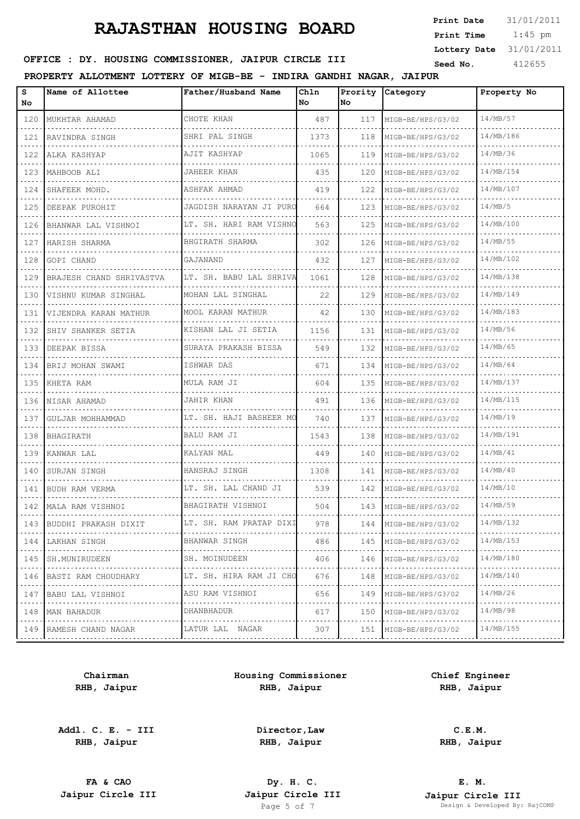| Print Date   | 31/01/2011 |
|--------------|------------|
| Print Time   | $1:45$ pm  |
| Lottery Date | 31/01/2011 |
| Seed No      | 412655     |

## **SEED OFFICE : DY. HOUSING COMMISSIONER, JAIPUR CIRCLE III** Seed No. 412655

**PROPERTY ALLOTMENT LOTTERY OF MIGB-BE - INDIRA GANDHI NAGAR, JAIPUR**

| s<br>No.         | Name of Allottee         | Father/Husband Name     | Chln<br>No | Prority<br>No | Category          | Property No |
|------------------|--------------------------|-------------------------|------------|---------------|-------------------|-------------|
| 120              | MUKHTAR AHAMAD           | CHOTE KHAN              | 487        | 117           | MIGB-BE/HPS/G3/02 | 14/MB/57    |
| 121              | RAVINDRA SINGH           | SHRI PAL SINGH          | 1373       | 118           | MIGB-BE/HPS/G3/02 | 14/MB/186   |
| د د د د .<br>122 | ALKA KASHYAP             | AJIT KASHYAP            | 1065       | 119           | MIGB-BE/HPS/G3/02 | 14/MB/36    |
| 123              | MAHBOOB ALI              | JAHEER KHAN             | 435        | 120           | MIGB-BE/HPS/G3/02 | 14/MB/154   |
| 124              | SHAFEEK MOHD.            | ASHFAK AHMAD            | 419        | 122           | MIGB-BE/HPS/G3/02 | 14/MB/107   |
| 125              | DEEPAK PUROHIT           | JAGDISH NARAYAN JI PURO | 664        | 123           | MIGB-BE/HPS/G3/02 | 14/MB/5     |
| 126              | BHANWAR LAL VISHNOI      | LT. SH. HARI RAM VISHNO | 563        | 125           | MIGB-BE/HPS/G3/02 | 14/MB/100   |
| 127              | HARISH SHARMA            | BHGIRATH SHARMA         | 302        | 126           | MIGB-BE/HPS/G3/02 | 14/MB/55    |
| 128              | GOPI CHAND               | GAJANAND                | 432        | 127           | MIGB-BE/HPS/G3/02 | 14/MB/102   |
| 129              | BRAJESH CHAND SHRIVASTVA | LT. SH. BABU LAL SHRIVA | 1061       | 128           | MIGB-BE/HPS/G3/02 | 14/MB/138   |
| 130              | VISHNU KUMAR SINGHAL     | MOHAN LAL SINGHAL       | 22         | 129           | MIGB-BE/HPS/G3/02 | 14/MB/149   |
| 131              | VIJENDRA KARAN MATHUR    | MOOL KARAN MATHUR       | 42         | 130           | MIGB-BE/HPS/G3/02 | 14/MB/183   |
| 132              | SHIV SHANKER SETIA       | KISHAN LAL JI SETIA     | 1156       | 131           | MIGB-BE/HPS/G3/02 | 14/MB/56    |
| 133              | DEEPAK BISSA             | SURAYA PRAKASH BISSA    | 549        | 132           | MIGB-BE/HPS/G3/02 | 14/MB/65    |
| 134              | BRIJ MOHAN SWAMI         | ISHWAR DAS              | 671        | 134           | MIGB-BE/HPS/G3/02 | 14/MB/64    |
| 135              | KHETA RAM                | MULA RAM JI             | 604        | 135           | MIGB-BE/HPS/G3/02 | 14/MB/137   |
| 136              | NISAR AHAMAD             | JAHIR KHAN              | 491        | 136           | MIGB-BE/HPS/G3/02 | 14/MB/115   |
| 137              | GULJAR MOHHAMMAD         | LT. SH. HAJI BASHEER MO | 740        | 137           | MIGB-BE/HPS/G3/02 | 14/MB/19    |
| 138              | BHAGIRATH                | BALU RAM JI             | 1543       | 138           | MIGB-BE/HPS/G3/02 | 14/MB/191   |
| 139              | KANWAR LAL               | KALYAN MAL              | 449        | 140           | MIGB-BE/HPS/G3/02 | 14/MB/41    |
| 140              | SURJAN SINGH             | HANSRAJ SINGH           | 1308       | 141           | MIGB-BE/HPS/G3/02 | 14/MB/40    |
| 141              | BUDH RAM VERMA           | LT. SH. LAL CHAND JI    | 539        | 142           | MIGB-BE/HPS/G3/02 | 14/MB/10    |
|                  | 142 MALA RAM VISHNOI     | BHAGIRATH VISHNOI       | 504        | 143           | MIGB-BE/HPS/G3/02 | 14/MB/59    |
| 143              | BUDDHI PRAKASH DIXIT     | LT. SH. RAM PRATAP DIXI | 978        | 144           | MIGB-BE/HPS/G3/02 | 14/MB/132   |
| 144              | LAKHAN SINGH             | BHANWAR SINGH           | 486        | 145           | MIGB-BE/HPS/G3/02 | 14/MB/153   |
| 145              | SH.MUNIRUDEEN            | SH. MOINUDEEN           | 406        | 146           | MIGB-BE/HPS/G3/02 | 14/MB/180   |
| 146              | BASTI RAM CHOUDHARY      | LT. SH. HIRA RAM JI CHO | 676        | 148           | MIGB-BE/HPS/G3/02 | 14/MB/140   |
| 147              | BABU LAL VISHNOI         | ASU RAM VISHNOI         | 656        | 149           | MIGB-BE/HPS/G3/02 | 14/MB/26    |
| 148              | MAN BAHADUR              | DHANBHADUR              | 617        | 150           | MIGB-BE/HPS/G3/02 | 14/MB/98    |
|                  | 149 RAMESH CHAND NAGAR   | LATUR LAL NAGAR         | 307        | 151           | MIGB-BE/HPS/G3/02 | 14/MB/155   |
|                  |                          |                         |            |               |                   |             |

**Chairman RHB, Jaipur**

**Addl. C. E. - III RHB, Jaipur**

**Housing Commissioner RHB, Jaipur**

**Chief Engineer RHB, Jaipur**

**Director,Law RHB, Jaipur**

**C.E.M. RHB, Jaipur**

**FA & CAO Dy. H. C.**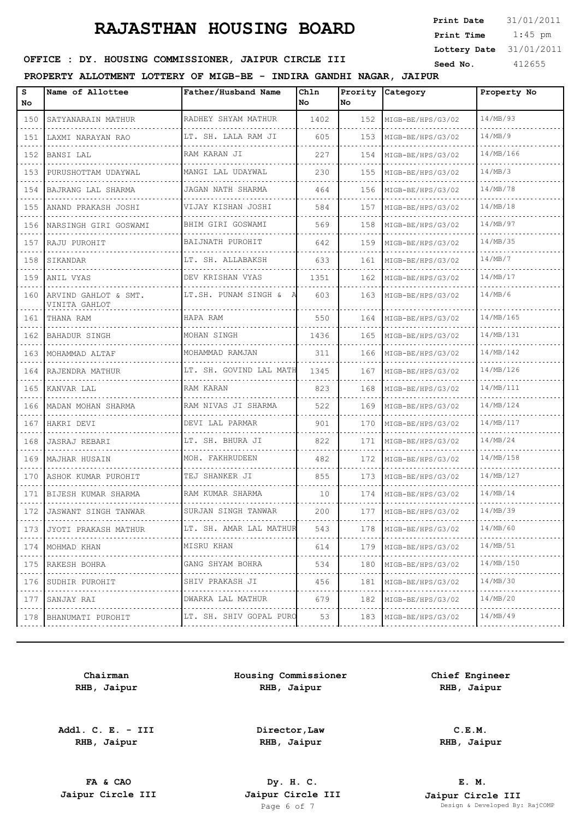1:45 pm **Print Date**  $31/01/2011$ **Print Time Lottery Date** 31/01/2011

## **SEED OFFICE : DY. HOUSING COMMISSIONER, JAIPUR CIRCLE III** Seed No. 412655

### **PROPERTY ALLOTMENT LOTTERY OF MIGB-BE - INDIRA GANDHI NAGAR, JAIPUR**

| s<br>No                                                                                                                                                                                                                                                                  | Name of Allottee                      | Father/Husband Name          | Chln<br>l No | Prority<br>No | Category               | Property No    |
|--------------------------------------------------------------------------------------------------------------------------------------------------------------------------------------------------------------------------------------------------------------------------|---------------------------------------|------------------------------|--------------|---------------|------------------------|----------------|
| 150                                                                                                                                                                                                                                                                      | SATYANARAIN MATHUR                    | RADHEY SHYAM MATHUR          | 1402         | 152           | MIGB-BE/HPS/G3/02      | 14/MB/93       |
| 151                                                                                                                                                                                                                                                                      | LAXMI NARAYAN RAO                     | LT. SH. LALA RAM JI          | 605          | 153           | MIGB-BE/HPS/G3/02<br>. | 14/MB/9        |
| 152                                                                                                                                                                                                                                                                      | BANSI LAL                             | RAM KARAN JI                 | 227          | 154           | MIGB-BE/HPS/G3/02      | 14/MB/166      |
| 153                                                                                                                                                                                                                                                                      | PURUSHOTTAM UDAYWAL                   | MANGI LAL UDAYWAL            | 230          | 155           | MIGB-BE/HPS/G3/02      | 14/MB/3        |
| 154                                                                                                                                                                                                                                                                      | BAJRANG LAL SHARMA                    | JAGAN NATH SHARMA            | 464          | 156           | MIGB-BE/HPS/G3/02      | 14/MB/78       |
| 155                                                                                                                                                                                                                                                                      | ANAND PRAKASH JOSHI                   | VIJAY KISHAN JOSHI           | 584          | 157           | MIGB-BE/HPS/G3/02      | 14/MB/18       |
| 156                                                                                                                                                                                                                                                                      | NARSINGH GIRI GOSWAMI                 | BHIM GIRI GOSWAMI            | 569          | 158           | MIGB-BE/HPS/G3/02      | 14/MB/97       |
| 157                                                                                                                                                                                                                                                                      | RAJU PUROHIT                          | BAIJNATH PUROHIT<br>.        | 642          | 159           | MIGB-BE/HPS/G3/02<br>. | 14/MB/35       |
| 158                                                                                                                                                                                                                                                                      | SIKANDAR                              | LT. SH. ALLABAKSH            | 633          | 161           | MIGB-BE/HPS/G3/02      | 14/MB/7        |
| 159                                                                                                                                                                                                                                                                      | ANIL VYAS                             | DEV KRISHAN VYAS<br>.        | 1351         | 162           | MIGB-BE/HPS/G3/02      | 14/MB/17       |
| 160                                                                                                                                                                                                                                                                      | ARVIND GAHLOT & SMT.<br>VINITA GAHLOT | LT.SH. PUNAM SINGH & A       | 603          | 163           | MIGB-BE/HPS/G3/02      | 14/MB/6        |
| 161                                                                                                                                                                                                                                                                      | THANA RAM                             | HAPA RAM                     | 550          | 164           | MIGB-BE/HPS/G3/02      | 14/MB/165      |
| 162                                                                                                                                                                                                                                                                      | BAHADUR SINGH                         | MOHAN SINGH                  | 1436         | 165           | MIGB-BE/HPS/G3/02      | 14/MB/131      |
| 163                                                                                                                                                                                                                                                                      | MOHAMMAD ALTAF                        | MOHAMMAD RAMJAN              | 311          | 166           | MIGB-BE/HPS/G3/02      | 14/MB/142      |
| 164                                                                                                                                                                                                                                                                      | RAJENDRA MATHUR                       | LT. SH. GOVIND LAL MATH      | 1345         | 167           | MIGB-BE/HPS/G3/02      | 14/MB/126      |
| 165                                                                                                                                                                                                                                                                      | KANVAR LAL                            | RAM KARAN                    | 823          | 168           | MIGB-BE/HPS/G3/02      | 14/MB/111      |
| 166                                                                                                                                                                                                                                                                      | MADAN MOHAN SHARMA                    | RAM NIVAS JI SHARMA          | 522          | 169           | MIGB-BE/HPS/G3/02      | 14/MB/124      |
| 167                                                                                                                                                                                                                                                                      | HAKRI DEVI                            | DEVI LAL PARMAR              | 901          | 170           | MIGB-BE/HPS/G3/02      | 14/MB/117      |
| 168                                                                                                                                                                                                                                                                      | JASRAJ REBARI                         | LT. SH. BHURA JI<br><u>.</u> | 822          | 171           | MIGB-BE/HPS/G3/02      | 14/MB/24       |
| 169                                                                                                                                                                                                                                                                      | MAJHAR HUSAIN                         | MOH. FAKHRUDEEN              | 482          | 172           | MIGB-BE/HPS/G3/02      | 14/MB/158      |
| 170                                                                                                                                                                                                                                                                      | ASHOK KUMAR PUROHIT                   | TEJ SHANKER JI               | 855          | 173           | MIGB-BE/HPS/G3/02      | 14/MB/127      |
| 171                                                                                                                                                                                                                                                                      | BIJESH KUMAR SHARMA                   | RAM KUMAR SHARMA             | 10           | 174           | MIGB-BE/HPS/G3/02      | 14/MB/14       |
| 172                                                                                                                                                                                                                                                                      | JASWANT SINGH TANWAR                  | SURJAN SINGH TANWAR          | 200          | 177           | MIGB-BE/HPS/G3/02      | 14/MB/39       |
| 173                                                                                                                                                                                                                                                                      | JYOTI PRAKASH MATHUR                  | LT. SH. AMAR LAL MATHUR      | 543          | 178           | .<br>MIGB-BE/HPS/G3/02 | .<br>14/MB/60  |
|                                                                                                                                                                                                                                                                          | 174   MOHMAD KHAN                     | MISRU KHAN                   | 614          | 179           | MIGB-BE/HPS/G3/02      | 14/MB/51       |
| 175<br>$\frac{1}{2} \left( \frac{1}{2} \right) \left( \frac{1}{2} \right) \left( \frac{1}{2} \right) \left( \frac{1}{2} \right) \left( \frac{1}{2} \right)$                                                                                                              | RAKESH BOHRA<br>.                     | GANG SHYAM BOHRA<br>.        | 534          | 180           | MIGB-BE/HPS/G3/02      | 14/MB/150<br>. |
| 176                                                                                                                                                                                                                                                                      | SUDHIR PUROHIT                        | SHIV PRAKASH JI              | 456          | 181           | MIGB-BE/HPS/G3/02      | 14/MB/30       |
| $\frac{1}{2} \left( \frac{1}{2} \right) \left( \frac{1}{2} \right) \left( \frac{1}{2} \right) \left( \frac{1}{2} \right)$<br>177<br>$\mathcal{L}^{\mathcal{A}}\left( \mathcal{A}^{\mathcal{A}}\right) =\mathcal{L}^{\mathcal{A}}\left( \mathcal{A}^{\mathcal{A}}\right)$ | SANJAY RAI<br>.                       | DWARKA LAL MATHUR            | 679          | 182           | MIGB-BE/HPS/G3/02      | 14/MB/20       |
|                                                                                                                                                                                                                                                                          | 178 BHANUMATI PUROHIT                 | LT. SH. SHIV GOPAL PURO      | 53           | 183           | MIGB-BE/HPS/G3/02<br>. | 14/MB/49       |
|                                                                                                                                                                                                                                                                          |                                       |                              |              |               |                        |                |

**Chairman RHB, Jaipur**

**Addl. C. E. - III RHB, Jaipur**

**Housing Commissioner RHB, Jaipur**

**Chief Engineer RHB, Jaipur**

**Director,Law RHB, Jaipur**

**C.E.M.**

**RHB, Jaipur**

**FA & CAO Dy. H. C.**

**E. M. Jaipur Circle III Jaipur Circle III Jaipur Circle III Jaipur Circle III Jaipur Circle III Page 6 of 7 Design & Developed By:** Pesign & Developed By: RajCOMP